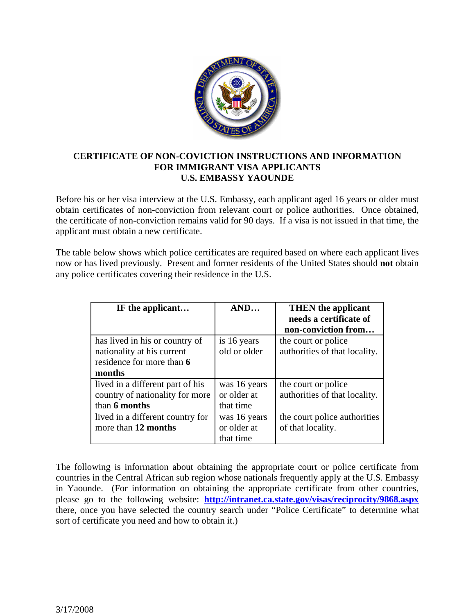

## **CERTIFICATE OF NON-COVICTION INSTRUCTIONS AND INFORMATION FOR IMMIGRANT VISA APPLICANTS U.S. EMBASSY YAOUNDE**

Before his or her visa interview at the U.S. Embassy, each applicant aged 16 years or older must obtain certificates of non-conviction from relevant court or police authorities. Once obtained, the certificate of non-conviction remains valid for 90 days. If a visa is not issued in that time, the applicant must obtain a new certificate.

The table below shows which police certificates are required based on where each applicant lives now or has lived previously. Present and former residents of the United States should **not** obtain any police certificates covering their residence in the U.S.

| IF the applicant                 | AND          | <b>THEN</b> the applicant<br>needs a certificate of<br>non-conviction from |
|----------------------------------|--------------|----------------------------------------------------------------------------|
| has lived in his or country of   | is 16 years  | the court or police                                                        |
| nationality at his current       | old or older | authorities of that locality.                                              |
| residence for more than 6        |              |                                                                            |
| months                           |              |                                                                            |
| lived in a different part of his | was 16 years | the court or police                                                        |
| country of nationality for more  | or older at  | authorities of that locality.                                              |
| than 6 months                    | that time    |                                                                            |
| lived in a different country for | was 16 years | the court police authorities                                               |
| more than 12 months              | or older at  | of that locality.                                                          |
|                                  | that time    |                                                                            |

The following is information about obtaining the appropriate court or police certificate from countries in the Central African sub region whose nationals frequently apply at the U.S. Embassy in Yaounde. (For information on obtaining the appropriate certificate from other countries, please go to the following website: **<http://intranet.ca.state.gov/visas/reciprocity/9868.aspx>** there, once you have selected the country search under "Police Certificate" to determine what sort of certificate you need and how to obtain it.)